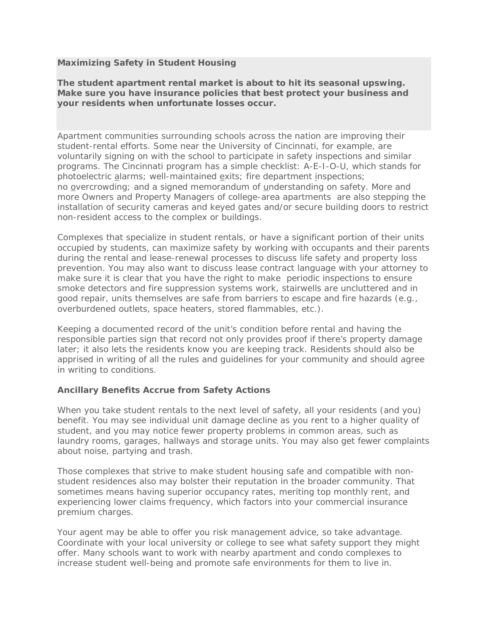## **Maximizing Safety in Student Housing**

**The student apartment rental market is about to hit its seasonal upswing. Make sure you have insurance policies that best protect your business and your residents when unfortunate losses occur.**

Apartment communities surrounding schools across the nation are improving their student-rental efforts. Some near the University of Cincinnati, for example, are voluntarily signing on with the school to participate in safety inspections and similar programs. The Cincinnati program has a simple checklist: A-E-I-O-U, which stands for photoelectric alarms; well-maintained exits; fire department inspections; no overcrowding; and a signed memorandum of understanding on safety. More and more Owners and Property Managers of college-area apartments are also stepping the installation of security cameras and keyed gates and/or secure building doors to restrict non-resident access to the complex or buildings.

Complexes that specialize in student rentals, or have a significant portion of their units occupied by students, can maximize safety by working with occupants and their parents during the rental and lease-renewal processes to discuss life safety and property loss prevention. You may also want to discuss lease contract language with your attorney to make sure it is clear that you have the right to make periodic inspections to ensure smoke detectors and fire suppression systems work, stairwells are uncluttered and in good repair, units themselves are safe from barriers to escape and fire hazards (e.g., overburdened outlets, space heaters, stored flammables, etc.).

Keeping a documented record of the unit's condition before rental and having the responsible parties sign that record not only provides proof if there's property damage later; it also lets the residents know you are keeping track. Residents should also be apprised in writing of all the rules and guidelines for your community and should agree in writing to conditions.

## **Ancillary Benefits Accrue from Safety Actions**

When you take student rentals to the next level of safety, all your residents (and you) benefit. You may see individual unit damage decline as you rent to a higher quality of student, and you may notice fewer property problems in common areas, such as laundry rooms, garages, hallways and storage units. You may also get fewer complaints about noise, partying and trash.

Those complexes that strive to make student housing safe and compatible with nonstudent residences also may bolster their reputation in the broader community. That sometimes means having superior occupancy rates, meriting top monthly rent, and experiencing lower claims frequency, which factors into your commercial insurance premium charges.

Your agent may be able to offer you risk management advice, so take advantage. Coordinate with your local university or college to see what safety support they might offer. Many schools want to work with nearby apartment and condo complexes to increase student well-being and promote safe environments for them to live in.